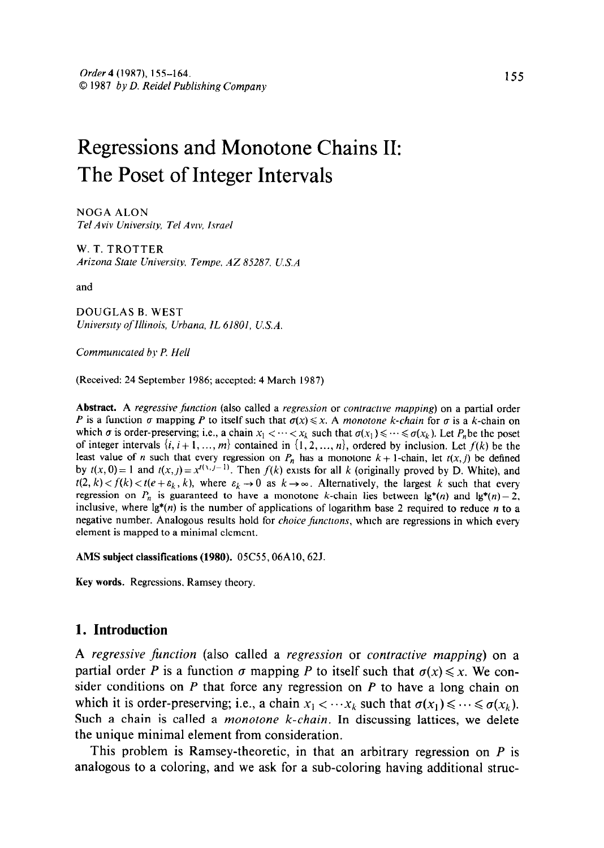# Regressions and Monotone Chains II: The Poset of Integer Intervals

NOGA ALON Tel Aviv University, Tel Avw, Israel

W. T. TROTTER Arizona State University, Tempe, AZ 85287, U.S.A.

and

DOUGLAS B. WEST University ofIllinois, Urbana. IL 61801, U.S.A.

Commumcated by P. Hell

(Received: 24 September 1986; accepted: 4 March 1987)

Abstract. A regressive function (also called a regression or contractive mapping) on a partial order P is a function  $\sigma$  mapping P to itself such that  $\sigma(x) \le x$ . A monotone k-chain for  $\sigma$  is a k-chain on which  $\sigma$  is order-preserving; i.e., a chain  $x_1 < \cdots < x_k$  such that  $\sigma(x_1) \leq \cdots \leq \sigma(x_k)$ . Let P<sub>n</sub>be the poset of integer intervals  $\{i, i+1, ..., m\}$  contained in  $\{1, 2, ..., n\}$ , ordered by inclusion. Let  $f(k)$  be the least value of n such that every regression on P, has a monotone  $k+1$ -chain, let  $t(x, i)$  be defined by  $t(x, 0) = 1$  and  $t(x, t) = x^{t(x, t-1)}$ . Then  $f(k)$  exists for all k (originally proved by D. White), and  $t(2, k) < f(k) < t(e+\varepsilon_k, k)$ , where  $\varepsilon_k \to 0$  as  $k \to \infty$ . Alternatively, the largest k such that every regression on  $P_n$  is guaranteed to have a monotone k-chain lies between lg\*(n) and lg\*(n) - 2, inclusive, where  $\lg^*(n)$  is the number of applications of logarithm base 2 required to reduce n to a negative number. Analogous results hold for *choice functions*, which are regressions in which every element is mapped to a minimal element.

AMS subject classifications (1980). 05C55, 06A10, 62J.

Key words. Regressions, Ramsey theory.

#### 1. Introduction

A regressive function (also called a regression or contractive mapping) on a partial order P is a function  $\sigma$  mapping P to itself such that  $\sigma(x) \leq x$ . We consider conditions on  $P$  that force any regression on  $P$  to have a long chain on which it is order-preserving; i.e., a chain  $x_1 < \cdots x_k$  such that  $\sigma(x_1) \leq \cdots \leq \sigma(x_k)$ . Such a chain is called a *monotone k-chain*. In discussing lattices, we delete the unique minimal element from consideration.

This problem is Ramsey-theoretic, in that an arbitrary regression on  $P$  is analogous to a coloring, and we ask for a sub-coloring having additional struc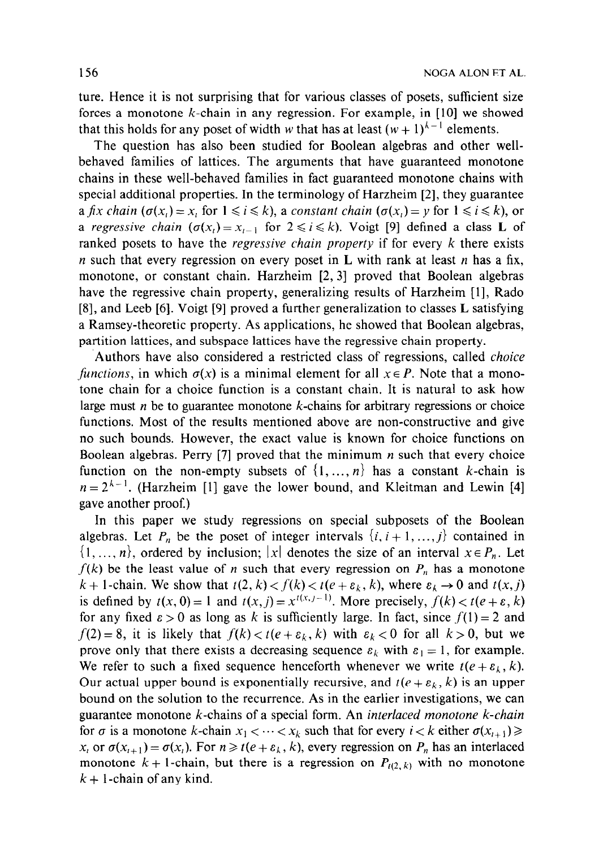ture. Hence it is not surprising that for various classes of posets, sufficient size forces a monotone  $k$ -chain in any regression. For example, in  $[10]$  we showed that this holds for any poset of width w that has at least  $(w + 1)^{k-1}$  elements.

The question has also been studied for Boolean algebras and other wellbehaved families of lattices. The arguments that have guaranteed monotone chains in these well-behaved families in fact guaranteed monotone chains with special additional properties. In the terminology of Harzheim [2], they guarantee a fix chain  $(\sigma(x_i) = x_i$  for  $1 \le i \le k$ , a constant chain  $(\sigma(x_i) = y$  for  $1 \le i \le k)$ , or a regressive chain  $(\sigma(x_i) = x_{i-1}$  for  $2 \le i \le k$ ). Voigt [9] defined a class L of ranked posets to have the *regressive chain property* if for every  $k$  there exists *n* such that every regression on every poset in **L** with rank at least *n* has a fix, monotone, or constant chain. Harzheim [2, 31 proved that Boolean algebras have the regressive chain property, generalizing results of Harzheim [l], Rado [8], and Leeb [6]. Voigt [9] proved a further generalization to classes L satisfying a Ramsey-theoretic property. As applications, he showed that Boolean algebras, partition lattices, and subspace lattices have the regressive chain property.

Authors have also considered a restricted class of regressions, called *choice* functions, in which  $\sigma(x)$  is a minimal element for all  $x \in P$ . Note that a monotone chain for a choice function is a constant chain. It is natural to ask how large must  $n$  be to guarantee monotone  $k$ -chains for arbitrary regressions or choice functions. Most of the results mentioned above are non-constructive and give no such bounds. However, the exact value is known for choice functions on Boolean algebras. Perry [7] proved that the minimum  $n$  such that every choice function on the non-empty subsets of  $\{1, \ldots, n\}$  has a constant k-chain is  $n = 2^{k-1}$ . (Harzheim [1] gave the lower bound, and Kleitman and Lewin [4] gave another proof.)

In this paper we study regressions on special subposets of the Boolean algebras. Let  $P_n$  be the poset of integer intervals  $\{i, i+1, \ldots, j\}$  contained in  $\{1, ..., n\}$ , ordered by inclusion; |x| denotes the size of an interval  $x \in P_n$ . Let  $f(k)$  be the least value of n such that every regression on  $P_n$  has a monotone  $k + 1$ -chain. We show that  $t(2, k) < f(k) < t(e + \varepsilon_k, k)$ , where  $\varepsilon_k \to 0$  and  $t(x, j)$ is defined by  $t(x, 0) = 1$  and  $t(x, j) = x^{t(x, j-1)}$ . More precisely,  $f(k) < t(e + \varepsilon, k)$ for any fixed  $\epsilon > 0$  as long as k is sufficiently large. In fact, since  $f(1) = 2$  and  $f(2) = 8$ , it is likely that  $f(k) < t(e + \varepsilon_k, k)$  with  $\varepsilon_k < 0$  for all  $k > 0$ , but we prove only that there exists a decreasing sequence  $\varepsilon_k$  with  $\varepsilon_1 = 1$ , for example. We refer to such a fixed sequence henceforth whenever we write  $t(e + \varepsilon_k, k)$ . Our actual upper bound is exponentially recursive, and  $t(e + \varepsilon_k, k)$  is an upper bound on the solution to the recurrence. As in the earlier investigations, we can guarantee monotone k-chains of a special form. An interlaced monotone k-chain for  $\sigma$  is a monotone k-chain  $x_1 < \cdots < x_k$  such that for every  $i < k$  either  $\sigma(x_{i+1}) \ge$  $x_i$  or  $\sigma(x_{i+1}) = \sigma(x_i)$ . For  $n \ge t(e + \varepsilon_k, k)$ , every regression on  $P_n$  has an interlaced monotone  $k + 1$ -chain, but there is a regression on  $P_{t(2, k)}$  with no monotone  $k + 1$ -chain of any kind.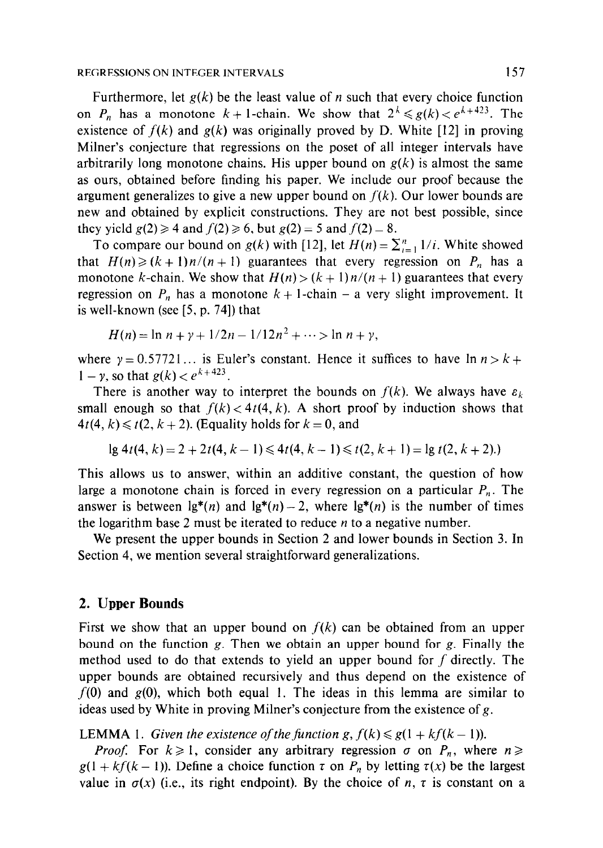#### REGRESSIONS ON INTEGER INTERVALS 157

Furthermore, let  $g(k)$  be the least value of *n* such that every choice function on  $P_n$  has a monotone  $k+1$ -chain. We show that  $2^k \le g(k) < e^{k+423}$ . The existence of  $f(k)$  and  $g(k)$  was originally proved by D. White [12] in proving Milner's conjecture that regressions on the poset of all integer intervals have arbitrarily long monotone chains. His upper bound on  $g(k)$  is almost the same as ours, obtained before finding his paper. We include our proof because the argument generalizes to give a new upper bound on  $f(k)$ . Our lower bounds are new and obtained by explicit constructions. They are not best possible, since they yield  $g(2) \ge 4$  and  $f(2) \ge 6$ , but  $g(2) = 5$  and  $f(2) = 8$ .

To compare our bound on  $g(k)$  with [12], let  $H(n) = \sum_{i=1}^{n} 1/i$ . White showed that  $H(n) \ge (k + 1)n/(n + 1)$  guarantees that every regression on  $P_n$  has a monotone k-chain. We show that  $H(n) > (k + 1)n/(n + 1)$  guarantees that every regression on  $P_n$  has a monotone  $k + 1$ -chain – a very slight improvement. It is well-known (see  $[5, p. 74]$ ) that

$$
H(n) = \ln n + \gamma + 1/2n - 1/12n^2 + \cdots > \ln n + \gamma,
$$

where  $y = 0.57721...$  is Euler's constant. Hence it suffices to have  $\ln n > k + 1$  $1 - \gamma$ , so that  $g(k) < e^{k+423}$ .

There is another way to interpret the bounds on  $f(k)$ . We always have  $\varepsilon_k$ small enough so that  $f(k) < 4t(4, k)$ . A short proof by induction shows that  $4t(4, k) \leq t(2, k + 2)$ . (Equality holds for  $k = 0$ , and

$$
lg 4t(4, k) = 2 + 2t(4, k - 1) \le 4t(4, k - 1) \le t(2, k + 1) = lg t(2, k + 2).
$$

This allows us to answer, within an additive constant, the question of how large a monotone chain is forced in every regression on a particular  $P_n$ . The answer is between  $\lg^*(n)$  and  $\lg^*(n) - 2$ , where  $\lg^*(n)$  is the number of times the logarithm base 2 must be iterated to reduce  $n$  to a negative number.

We present the upper bounds in Section 2 and lower bounds in Section 3. In Section 4, we mention several straightforward generalizations.

#### 2. Upper Bounds

First we show that an upper bound on  $f(k)$  can be obtained from an upper bound on the function g. Then we obtain an upper bound for g. Finally the method used to do that extends to yield an upper bound for f directly. The upper bounds are obtained recursively and thus depend on the existence of  $f(0)$  and  $g(0)$ , which both equal 1. The ideas in this lemma are similar to ideas used by White in proving Milner's conjecture from the existence of g.

**LEMMA** 1. Given the existence of the function  $g, f(k) \leq g(1 + kf(k-1))$ .

*Proof.* For  $k \ge 1$ , consider any arbitrary regression  $\sigma$  on  $P_n$ , where  $n \ge$  $g(1 + kf(k - 1))$ . Define a choice function  $\tau$  on  $P_n$  by letting  $\tau(x)$  be the largest value in  $\sigma(x)$  (i.e., its right endpoint). By the choice of n,  $\tau$  is constant on a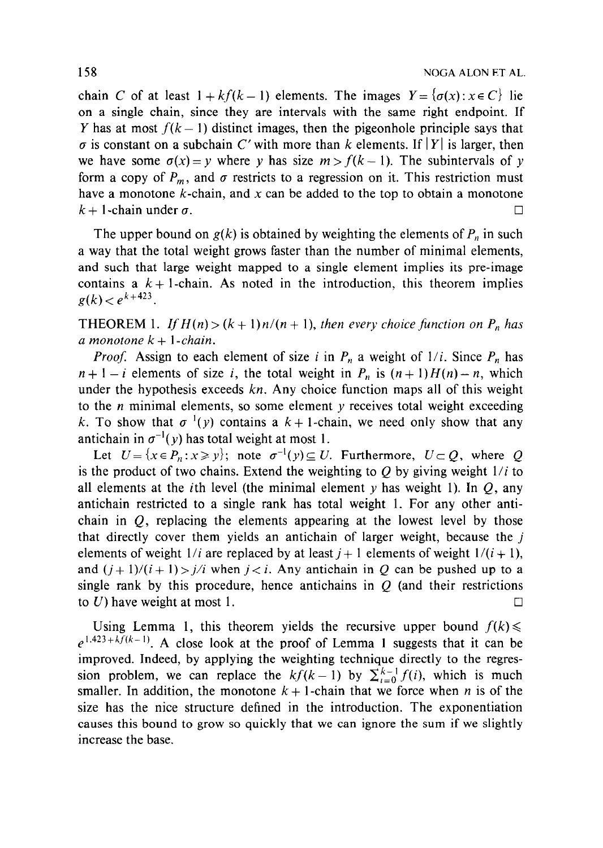chain C of at least  $1 + kf(k-1)$  elements. The images  $Y = \{\sigma(x) : x \in C\}$  lie on a single chain, since they are intervals with the same right endpoint. If Y has at most  $f(k-1)$  distinct images, then the pigeonhole principle says that  $\sigma$  is constant on a subchain C' with more than k elements. If |Y| is larger, then we have some  $\sigma(x) = y$  where y has size  $m > f(k-1)$ . The subintervals of y form a copy of  $P_m$ , and  $\sigma$  restricts to a regression on it. This restriction must have a monotone  $k$ -chain, and x can be added to the top to obtain a monotone  $k + 1$ -chain under  $\sigma$ .

The upper bound on  $g(k)$  is obtained by weighting the elements of  $P_n$  in such a way that the total weight grows faster than the number of minimal elements, and such that large weight mapped to a single element implies its pre-image contains a  $k+1$ -chain. As noted in the introduction, this theorem implies  $g(k) < e^{k+423}$ .

**THEOREM** 1. If  $H(n) > (k + 1)n/(n + 1)$ , then every choice function on  $P_n$  has a monotone  $k + 1$ -chain.

*Proof.* Assign to each element of size i in  $P_n$  a weight of  $1/i$ . Since  $P_n$  has  $n+1-i$  elements of size i, the total weight in  $P_n$  is  $(n+1)H(n)-n$ , which under the hypothesis exceeds  $kn$ . Any choice function maps all of this weight to the  $n$  minimal elements, so some element  $y$  receives total weight exceeding k. To show that  $\sigma^{-1}(y)$  contains a  $k+1$ -chain, we need only show that any antichain in  $\sigma^{-1}(y)$  has total weight at most 1.

Let  $U = \{x \in P_n : x \geq y\}$ ; note  $\sigma^{-1}(y) \subseteq U$ . Furthermore,  $U \subset Q$ , where Q is the product of two chains. Extend the weighting to O by giving weight  $1/i$  to all elements at the *i*th level (the minimal element y has weight 1). In Q, any antichain restricted to a single rank has total weight 1. For any other antichain in  $Q$ , replacing the elements appearing at the lowest level by those that directly cover them yields an antichain of larger weight, because the j elements of weight  $1/i$  are replaced by at least  $j+1$  elements of weight  $1/(i + 1)$ , and  $(j+1)/(i+1) > j/i$  when  $j < i$ . Any antichain in Q can be pushed up to a single rank by this procedure, hence antichains in  $Q$  (and their restrictions to U) have weight at most 1.  $\Box$ 

Using Lemma 1, this theorem yields the recursive upper bound  $f(k)$  $e^{1.423 + k \overline{f}(k-1)}$ . A close look at the proof of Lemma 1 suggests that it can be improved. Indeed, by applying the weighting technique directly to the regression problem, we can replace the  $kf(k-1)$  by  $\sum_{i=0}^{k-1} f(i)$ , which is much smaller. In addition, the monotone  $k + 1$ -chain that we force when n is of the size has the nice structure defined in the introduction. The exponentiation causes this bound to grow so quickly that we can ignore the sum if we slightly increase the base.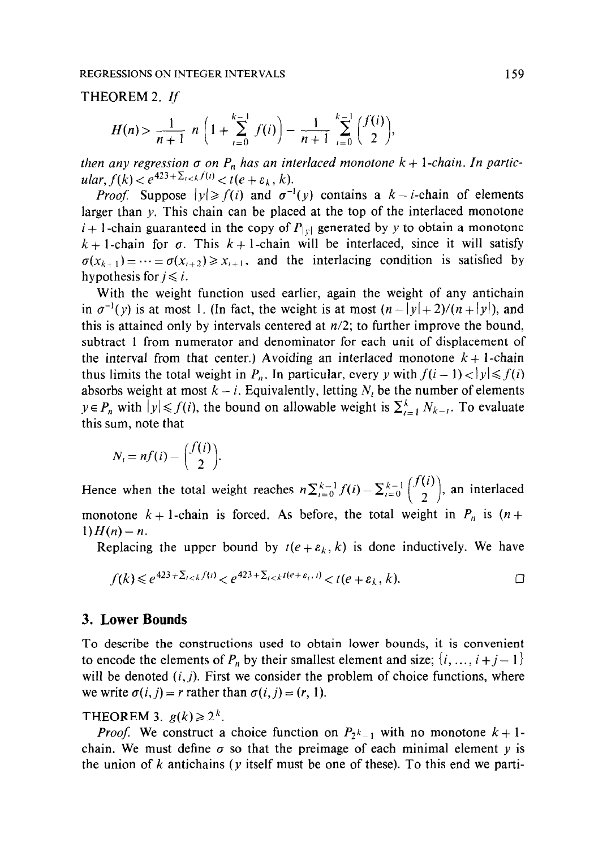#### THEOREM 2. If

$$
H(n) > \frac{1}{n+1} n \left( 1 + \sum_{i=0}^{k-1} f(i) \right) - \frac{1}{n+1} \sum_{i=0}^{k-1} {f(i) \choose 2},
$$

then any regression  $\sigma$  on  $P_n$  has an interlaced monotone  $k + 1$ -chain. In particular,  $f(k) < e^{423 + \sum_{i < k} f(i)} < t(e + \varepsilon_k, k)$ .

*Proof.* Suppose  $|y| \ge f(i)$  and  $\sigma^{-1}(y)$  contains a  $k - i$ -chain of elements larger than y. This chain can be placed at the top of the interlaced monotone  $i + 1$ -chain guaranteed in the copy of  $P_{|y|}$  generated by y to obtain a monotone  $k + 1$ -chain for  $\sigma$ . This  $k + 1$ -chain will be interlaced, since it will satisfy  $\sigma(x_{k+1})=\cdots=\sigma(x_{i+2})\geq x_{i+1}$ , and the interlacing condition is satisfied by hypothesis for  $j \leq i$ .

With the weight function used earlier, again the weight of any antichain in  $\sigma^{-1}(y)$  is at most 1. (In fact, the weight is at most  $(n-|y|+2)/(n+|y|)$ , and this is attained only by intervals centered at  $n/2$ ; to further improve the bound, subtract 1 from numerator and denominator for each unit of displacement of the interval from that center.) Avoiding an interlaced monotone  $k + 1$ -chain thus limits the total weight in  $P_n$ . In particular, every y with  $f(i-1) < |y| \leq f(i)$ absorbs weight at most  $k - i$ . Equivalently, letting  $N_i$  be the number of elements  $y \in P_n$  with  $|y| \le f(i)$ , the bound on allowable weight is  $\sum_{i=1}^{k} N_{k-i}$ . To evaluate this sum, note that

$$
N_i = nf(i) - \binom{f(i)}{2}.
$$

Hence when the total weight reaches  $n \sum_{i=0}^{k-1} f(i) - \sum_{i=0}^{k-1} {f(i) \choose 2}$ , an interlaced monotone  $k + 1$ -chain is forced. As before, the total weight in  $P_n$  is  $(n +$  $1)H(n) - n.$ 

Replacing the upper bound by  $t(e + \varepsilon_k, k)$  is done inductively. We have

$$
f(k) \leq e^{423 + \sum_{i < k} f(i)} < e^{423 + \sum_{i < k} t(e + \varepsilon_i, t)} < t(e + \varepsilon_k, k). \tag{}
$$

#### 3. Lower Bounds

To describe the constructions used to obtain lower bounds, it is convenient to encode the elements of  $P_n$  by their smallest element and size;  $\{i, ..., i + j - 1\}$ will be denoted  $(i, j)$ . First we consider the problem of choice functions, where we write  $\sigma(i, j) = r$  rather than  $\sigma(i, j) = (r, 1)$ .

THEOREM 3.  $g(k) \geq 2^k$ .

*Proof.* We construct a choice function on  $P_2k_{-1}$  with no monotone  $k + 1$ chain. We must define  $\sigma$  so that the preimage of each minimal element y is the union of k antichains ( $\nu$  itself must be one of these). To this end we parti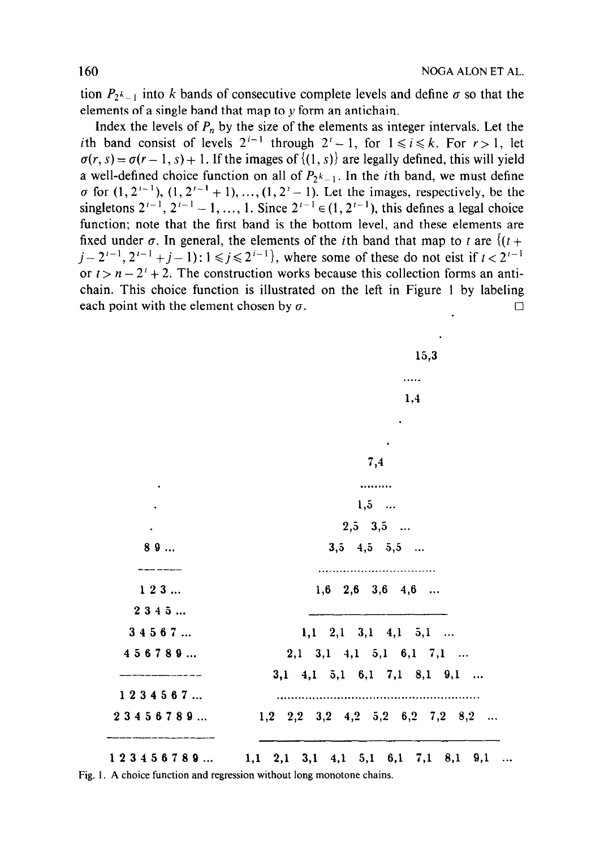tion  $P_2\lambda_{-1}$  into k bands of consecutive complete levels and define  $\sigma$  so that the elements of a single band that map to y form an antichain.

Index the levels of  $P_n$  by the size of the elements as integer intervals. Let the ith band consist of levels  $2^{i-1}$  through  $2^i - 1$ , for  $1 \le i \le k$ . For  $r > 1$ , let  $\sigma(r, s) = \sigma(r - 1, s) + 1$ . If the images of  $\{(1, s)\}\$ are legally defined, this will yield a well-defined choice function on all of  $P_{2^{k}-1}$ . In the *i*th band, we must define  $\sigma$  for  $(1, 2^{i-1}), (1, 2^{i-1} + 1), ..., (1, 2^i - 1)$ . Let the images, respectively, be the singletons  $2^{i-1}$ ,  $2^{i-1} - 1$ , ..., 1. Since  $2^{i-1} \in (1, 2^{i-1})$ , this defines a legal choice function; note that the first band is the bottom level, and these elements are fixed under  $\sigma$ . In general, the elements of the *i*th band that map to t are  $\{(t +$  $j-2^{i-1}, 2^{i-1}+j-1$ :  $1 \leq j \leq 2^{i-1}$ , where some of these do not eist if  $t < 2^{i-1}$ or  $t > n - 2^t + 2$ . The construction works because this collection forms an antichain. This choice function is illustrated on the left in Figure 1 by labeling each point with the element chosen by  $\sigma$ .

| 23456789                  | $1,2$ $2,2$ $3,2$ $4,2$ $5,2$ $6,2$ $7,2$ $8,2$            |
|---------------------------|------------------------------------------------------------|
| 1234567                   | $3,1$ 4,1 5,1 6,1 7,1 8,1 9,1                              |
| 456789                    | $2,1$ 3, 1 4, 1 5, 1 6, 1 7, 1                             |
| 34567                     | $1,1 \quad 2,1 \quad 3,1 \quad 4,1 \quad 5,1 \quad \ldots$ |
| 2345                      |                                                            |
| 123                       | $1,6$ $2,6$ $3,6$ $4,6$                                    |
|                           |                                                            |
| 89                        | $3,5$ $4,5$ $5,5$                                          |
| $\sim 10^{-10}$ m $^{-1}$ | $2,5$ $3,5$                                                |
|                           | $1,5$                                                      |
|                           |                                                            |
|                           | 7,4                                                        |
|                           |                                                            |
|                           |                                                            |
|                           | 1,4                                                        |
|                           |                                                            |
|                           | 15,3                                                       |

 $123456789...$   $1,1$   $2,1$   $3,1$   $4,1$   $5,1$   $6,1$   $7,1$   $8,1$   $9,1$  ... Fig. 1. A choice function and regression without long monotone chains.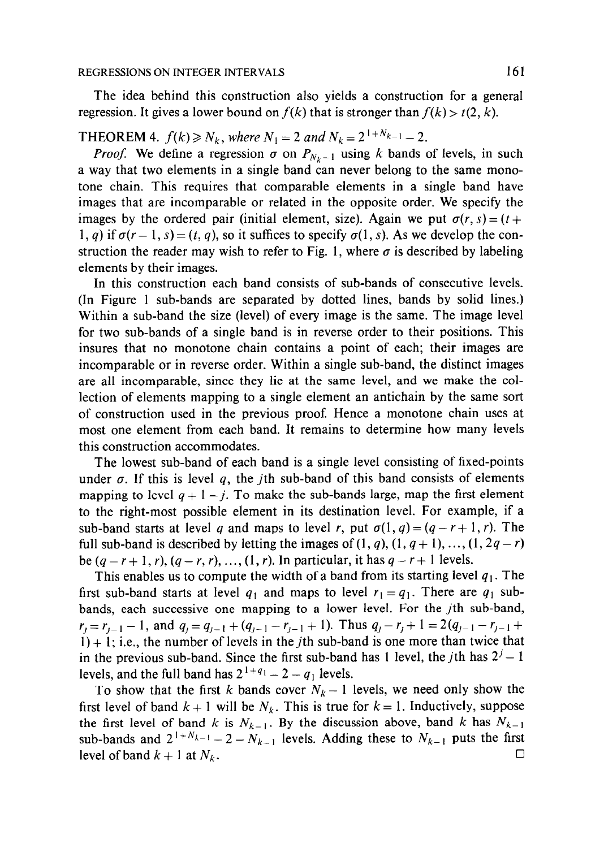#### REGRESSIONS ON INTEGER INTERVALS 161

The idea behind this construction also yields a construction for a general regression. It gives a lower bound on  $f(k)$  that is stronger than  $f(k) > t(2, k)$ .

## **THEOREM 4.**  $f(k) \ge N_k$ , where  $N_1 = 2$  and  $N_k = 2^{1+N_{k-1}} - 2$ .

*Proof.* We define a regression  $\sigma$  on  $P_{N_k-1}$  using k bands of levels, in such a way that two elements in a single band can never belong to the same monotone chain. This requires that comparable elements in a single band have images that are incomparable or related in the opposite order. We specify the images by the ordered pair (initial element, size). Again we put  $\sigma(r, s) = (t +$ 1, q) if  $\sigma(r-1, s) = (t, q)$ , so it suffices to specify  $\sigma(1, s)$ . As we develop the construction the reader may wish to refer to Fig. 1, where  $\sigma$  is described by labeling elements by their images.

In this construction each band consists of sub-bands of consecutive levels. (In Figure 1 sub-bands are separated by dotted lines, bands by solid lines.) Within a sub-band the size (level) of every image is the same. The image level for two sub-bands of a single band is in reverse order to their positions. This insures that no monotone chain contains a point of each; their images are incomparable or in reverse order. Within a single sub-band, the distinct images are all incomparable, since they lie at the same level, and we make the collection of elements mapping to a single element an antichain by the same sort of construction used in the previous proof. Hence a monotone chain uses at most one element from each band. It remains to determine how many levels this construction accommodates.

The lowest sub-band of each band is a single level consisting of fixed-points under  $\sigma$ . If this is level q, the jth sub-band of this band consists of elements mapping to level  $q + 1 - j$ . To make the sub-bands large, map the first element to the right-most possible element in its destination level. For example, if a sub-band starts at level q and maps to level r, put  $\sigma(1, q) = (q - r + 1, r)$ . The full sub-band is described by letting the images of  $(1, q), (1, q + 1), \ldots, (1, 2q - r)$ be  $(q - r + 1, r)$ ,  $(q - r, r)$ , ...,  $(1, r)$ . In particular, it has  $q - r + 1$  levels.

This enables us to compute the width of a band from its starting level  $q_1$ . The first sub-band starts at level  $q_1$  and maps to level  $r_1 = q_1$ . There are  $q_1$  subbands, each successive one mapping to a lower level. For the jth sub-band,  $r_j = r_{j-1}-1$ , and  $q_j = q_{j-1}+(q_{j-1}-r_{j-1}+1)$ . Thus  $q_j - r_j + 1 = 2(q_{j-1}-r_{j-1}+1)$  $1) + 1$ ; i.e., the number of levels in the *j*th sub-band is one more than twice that in the previous sub-band. Since the first sub-band has 1 level, the *j*th has  $2<sup>j</sup> - 1$ levels, and the full band has  $2^{1+q_1} - 2 - q_1$  levels.

To show that the first k bands cover  $N_k - 1$  levels, we need only show the first level of band  $k + 1$  will be  $N_k$ . This is true for  $k = 1$ . Inductively, suppose the first level of band k is  $N_{k-1}$ . By the discussion above, band k has  $N_{k-1}$ sub-bands and  $2^{1+N_{k-1}}$  - 2  $N$  - levels. Adding these to N<sub>k</sub>-inuts the first  $\sum_{k=1}^{\infty}$  band  $k+1$  at  $N$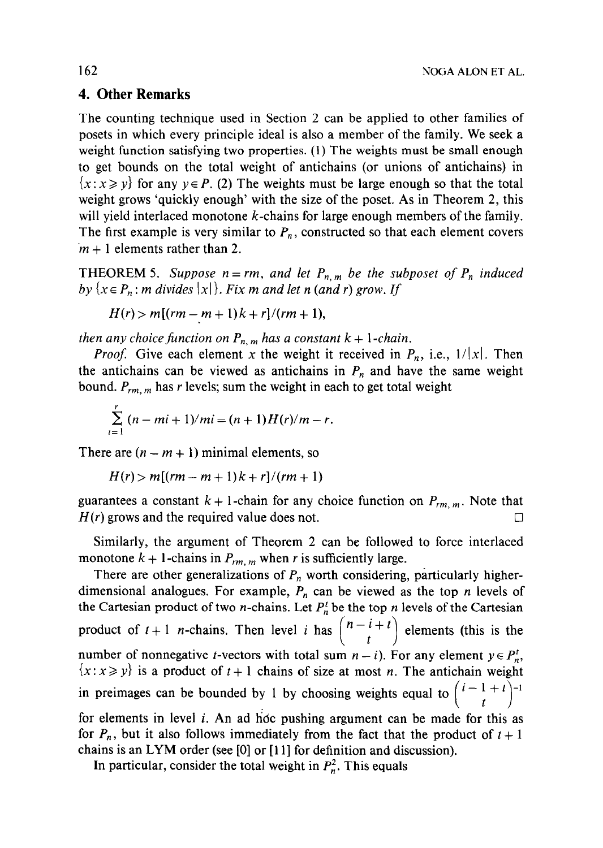### 4. Other Remarks

The counting technique used in Section 2 can be applied to other families of posets in which every principle ideal is also a member of the family. We seek a weight function satisfying two properties. (1) The weights must be small enough to get bounds on the total weight of antichains (or unions of antichains) in  ${x : x \geq y}$  for any  $y \in P$ . (2) The weights must be large enough so that the total weight grows 'quickly enough' with the size of the poset. As in Theorem 2, this will yield interlaced monotone  $k$ -chains for large enough members of the family. The first example is very similar to  $P_n$ , constructed so that each element covers  $m + 1$  elements rather than 2.

**THEOREM 5.** Suppose  $n = rm$ , and let  $P_{n,m}$  be the subposet of  $P_n$  induced by  $\{x \in P_n : m \text{ divides } |x|\}.$  Fix m and let n (and r) grow. If

$$
H(r) > m[(rm - m + 1)k + r]/(rm + 1),
$$

then any choice function on  $P_{n,m}$  has a constant  $k + 1$ -chain.

*Proof.* Give each element x the weight it received in  $P_n$ , i.e.,  $1/|x|$ . Then the antichains can be viewed as antichains in  $P_n$  and have the same weight bound.  $P_{rm, m, m}$  has r levels; sum the weight in each to get total weight

$$
\sum_{i=1}^{r} (n-mi+1)/mi = (n+1)H(r)/m - r.
$$

There are  $(n - m + 1)$  minimal elements, so

$$
H(r) > m[(rm-m+1)k+r]/(rm+1)
$$

guarantees a constant  $k + 1$ -chain for any choice function on  $P_{rm, m, m}$ . Note that  $H(r)$  grows and the required value does not.

Similarly, the argument of Theorem 2 can be followed to force interlaced monotone  $k + 1$ -chains in  $P_{rm, m, m}$  when r is sufficiently large.

There are other generalizations of  $P_n$  worth considering, particularly higherdimensional analogues. For example,  $P_n$  can be viewed as the top n levels of the Cartesian product of two *n*-chains. Let  $P_n^t$  be the top *n* levels of the Cartesian product of  $t + 1$  n-chains. Then level i has  $\begin{pmatrix} 1 & 1 \\ 1 & 1 \end{pmatrix}$  $n-i+t$  elements (this is the number of nonnegative *t*-vectors with total sum  $n - i$ ). For any element  $y \in P_n^t$ ,  $\{x : x \geq y\}$  is a product of  $t + 1$  chains of size at most n. The antichain weight in preimages can be bounded by 1 by choosing weights equal to  $\vert \cdot \vert$ for elements in level  $i$ . An ad hoc pushing argument can be made for this as for  $P_n$ , but it also follows immediately from the fact that the product of  $t + 1$ chains is an LYM order (see [0] or [11] for definition and discussion).

In particular, consider the total weight in  $P_n^2$ . This equals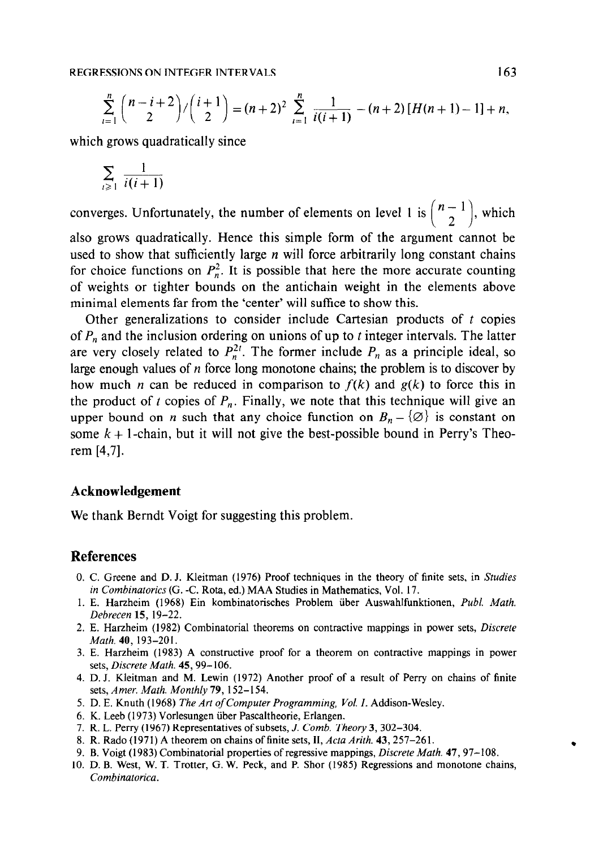$$
\sum_{i=1}^{n} {n-i+2 \choose 2} / {i+1 \choose 2} = (n+2)^2 \sum_{i=1}^{n} \frac{1}{i(i+1)} - (n+2) [H(n+1)-1] + n,
$$

which grows quadratically since

$$
\sum_{i\geq 1} \frac{1}{i(i+1)}
$$

converges. Unfortunately, the number of elements on level 1 is  $\binom{n-1}{n-1}$  $\left(\frac{n-1}{2}\right)$ , which also grows quadratically. Hence this simple form of the argument cannot be used to show that sufficiently large  $n$  will force arbitrarily long constant chains for choice functions on  $P_n^2$ . It is possible that here the more accurate counting of weights or tighter bounds on the antichain weight in the elements above minimal elements far from the 'center' will suffice to show this.

Other generalizations to consider include Cartesian products of  $t$  copies of  $P_n$  and the inclusion ordering on unions of up to t integer intervals. The latter are very closely related to  $P_n^{2t}$ . The former include  $P_n$  as a principle ideal, so large enough values of  $n$  force long monotone chains; the problem is to discover by how much *n* can be reduced in comparison to  $f(k)$  and  $g(k)$  to force this in the product of t copies of  $P_n$ . Finally, we note that this technique will give an upper bound on *n* such that any choice function on  $B_n - \{ \emptyset \}$  is constant on some  $k + 1$ -chain, but it will not give the best-possible bound in Perry's Theorem [4,7].

#### Acknowledgement

We thank Berndt Voigt for suggesting this problem.

#### References

- 0. C. Greene and D. J. Kleitman (1976) Proof techniques in the theory of finite sets, in Studies in Combinatorics (G. -C. Rota, ed.) MAA Studies in Mathematics, Vol. 17.
- 1. E. Harzheim (1968) Ein kombinatorisches Problem iiber Auswahlfunktionen, Publ. Math. Debrecen 15, 19-22.
- 2. E. Harzheim (1982) Combinatorial theorems on contractive mappings in power sets, Discrete Math. 40, 193-201.
- 3. E. Harzheim (1983) A constructive proof for a theorem on contractive mappings in power sets, Discrete Math. 45, 99-106.
- 4. D. J. Kleitman and M. Lewin (1972) Another proof of a result of Perry on chains of finite sets, Amer. Math. Monthly 79, 152-I 54.
- 5. D. E. Knuth (1968) The Art of Computer Programming, Vol. I. Addison-Wesley.
- 6. K. Leeb (1973) Vorlesungen iiber Pascaltheorie, Erlangen.
- 7. R. L. Perry (1967) Representatives of subsets, J. Comb. Theory 3,302-304.
- 8. R. Rado (1971) A theorem on chains of finite sets, II, Acta Arith. 43, 257-261.
- 9. B. Voigt (1983) Combinatorial properties of regressive mappings, Discrete Math. 47,97- 108.
- 10. D. B. West, W. T. Trotter, G. W. Peck, and P. Shor (1985) Regressions and monotone chains, Combinatorica.